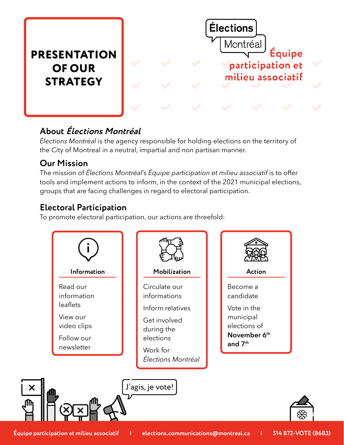# **PRESENTATION OF OUR STRATEGY**



### **About Élections Montréal**

*Élections Montréal* is the agency responsible for holding elections on the territory of the City of Montreal in a neutral, impartial and non partisan manner.

### **Our Mission**

The mission of *Élections Montréal*'s *Équipe participation et milieu associatif* is to offer tools and implement actions to inform, in the context of the 2021 municipal elections, groups that are facing challenges in regard to electoral participation.

### **Electoral Participation**

To promote electoral participation, our actions are threefold: